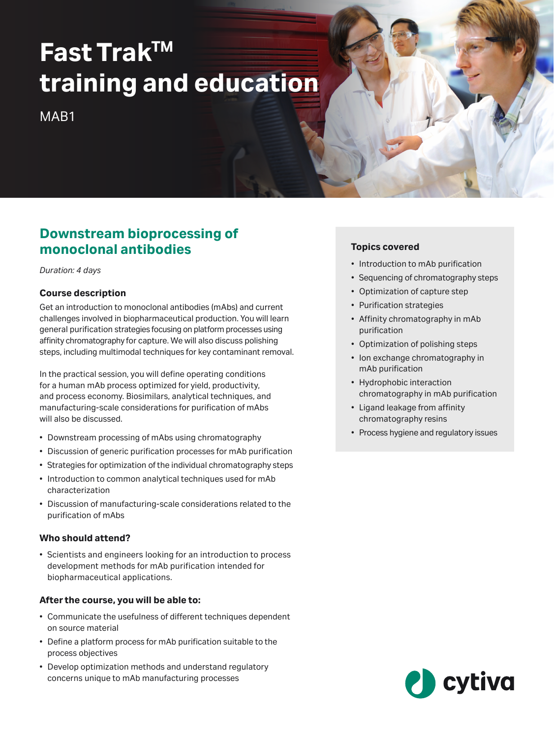# **Fast TrakTM training and education**

MAR<sub>1</sub>

# **Downstream bioprocessing of monoclonal antibodies**

*Duration: 4 days*

#### **Course description**

Get an introduction to monoclonal antibodies (mAbs) and current challenges involved in biopharmaceutical production. You will learn general purification strategies focusing on platform processes using affinity chromatography for capture. We will also discuss polishing steps, including multimodal techniques for key contaminant removal.

In the practical session, you will define operating conditions for a human mAb process optimized for yield, productivity, and process economy. Biosimilars, analytical techniques, and manufacturing‑scale considerations for purification of mAbs will also be discussed.

- Downstream processing of mAbs using chromatography
- Discussion of generic purification processes for mAb purification
- Strategies for optimization of the individual chromatography steps
- Introduction to common analytical techniques used for mAb characterization
- Discussion of manufacturing‑scale considerations related to the purification of mAbs

#### **Who should attend?**

• Scientists and engineers looking for an introduction to process development methods for mAb purification intended for biopharmaceutical applications.

#### **After the course, you will be able to:**

- Communicate the usefulness of different techniques dependent on source material
- Define a platform process for mAb purification suitable to the process objectives
- Develop optimization methods and understand regulatory concerns unique to mAb manufacturing processes

### **Topics covered**

- Introduction to mAb purification
- Sequencing of chromatography steps
- Optimization of capture step
- Purification strategies
- Affinity chromatography in mAb purification
- Optimization of polishing steps
- Ion exchange chromatography in mAb purification
- Hydrophobic interaction chromatography in mAb purification
- Ligand leakage from affinity chromatography resins
- Process hygiene and regulatory issues

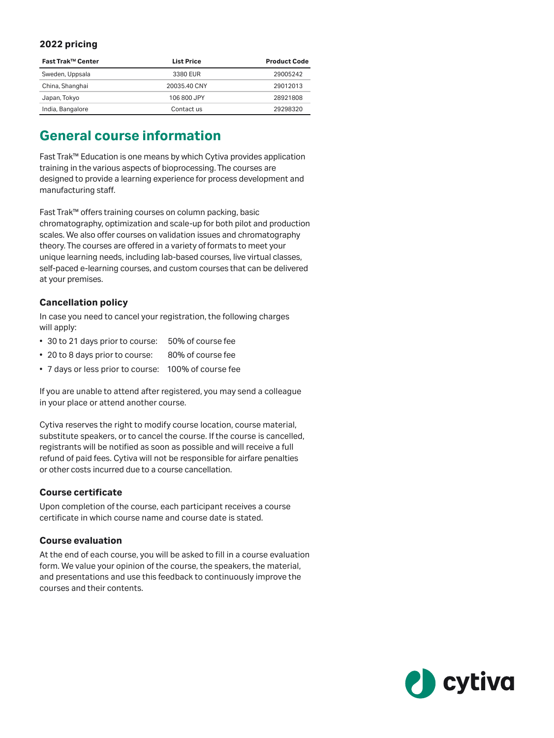#### **2022 pricing**

| Fast Trak™ Center | <b>List Price</b> | <b>Product Code</b> |
|-------------------|-------------------|---------------------|
| Sweden, Uppsala   | 3380 EUR          | 29005242            |
| China, Shanghai   | 20035.40 CNY      | 29012013            |
| Japan, Tokyo      | 106 800 JPY       | 28921808            |
| India, Bangalore  | Contact us        | 29298320            |

## **General course information**

Fast Trak™ Education is one means by which Cytiva provides application training in the various aspects of bioprocessing. The courses are designed to provide a learning experience for process development and manufacturing staff.

Fast Trak™ offers training courses on column packing, basic chromatography, optimization and scale-up for both pilot and production scales. We also offer courses on validation issues and chromatography theory. The courses are offered in a variety of formats to meet your unique learning needs, including lab-based courses, live virtual classes, self-paced e-learning courses, and custom courses that can be delivered at your premises.

#### **Cancellation policy**

In case you need to cancel your registration, the following charges will apply:

- 30 to 21 days prior to course: 50% of course fee
- 20 to 8 days prior to course: 80% of course fee
- 7 days or less prior to course: 100% of course fee

If you are unable to attend after registered, you may send a colleague in your place or attend another course.

Cytiva reserves the right to modify course location, course material, substitute speakers, or to cancel the course. If the course is cancelled, registrants will be notified as soon as possible and will receive a full refund of paid fees. Cytiva will not be responsible for airfare penalties or other costs incurred due to a course cancellation.

#### **Course certificate**

Upon completion of the course, each participant receives a course certificate in which course name and course date is stated.

#### **Course evaluation**

At the end of each course, you will be asked to fill in a course evaluation form. We value your opinion of the course, the speakers, the material, and presentations and use this feedback to continuously improve the courses and their contents.